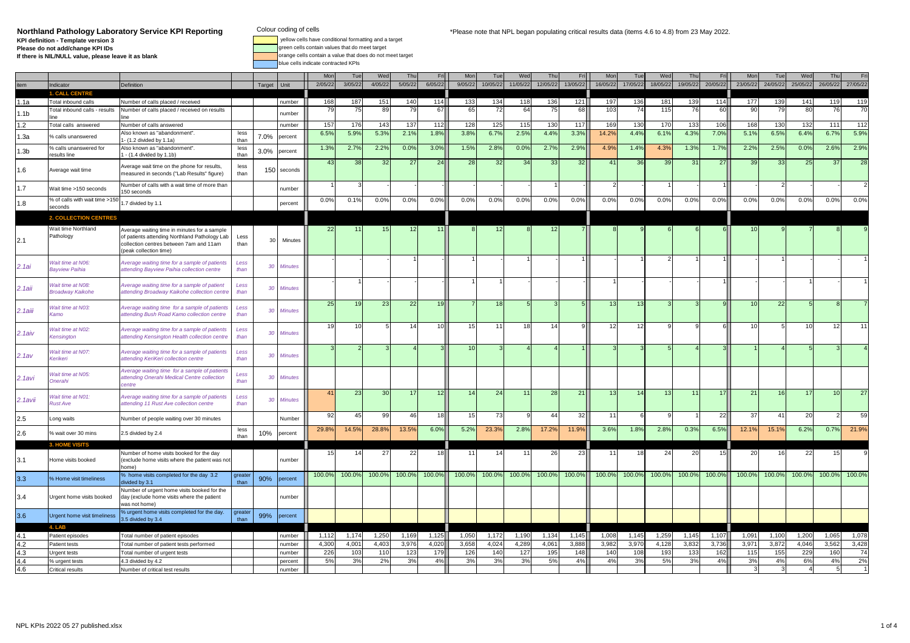**Northland Pathology Laboratory Service KPI ReportingKPI definition - Template version 3Please do not add/change KPI IDsIf there is NIL/NULL value, please leave it as blank**

blue cells indicate contracted KPIs

 yellow cells have conditional formatting and a target .<br>ireen cells contain values that do meet target orange cells contain a value that does do not meet target

Mon| Tue| Wed| Thu| Fri|| Mon| Tue| Wed| Thu| Fri|| Mon| Tue| Wed| Thu| Fri|| Mon| Tue e Wed Thu Fri item |Indicator Definition Definition | Target |Unit || 205/22| 3/05/22| 3/05/22| 5/05/22| 10/05/22| 10/05/22| 11/05/22| 13/05/22| 17/05/22| 18/05/22| 18/05/22| 18/05/22| 20/05/22| 24/05/22| 25/05/22| 27/05/22 26/05/22 27/ **1. CALL CENTRETotal inhound calle** 1.1a Total inbound calls Number of calls placed / received number <sup>168</sup> <sup>187</sup> <sup>151</sup> <sup>140</sup> <sup>114</sup> <sup>133</sup> <sup>134</sup> <sup>118</sup> <sup>136</sup> <sup>121</sup> <sup>197</sup> <sup>136</sup> <sup>181</sup> <sup>139</sup> <sup>114</sup> <sup>177</sup> <sup>139</sup> <sup>141</sup> <sup>119</sup> <sup>119</sup> 1.1b**Total inbound calls - results**  Number of calls placed / received on results line number 79 75 89 79 67 65 72 64 75 68 103 74 115 76 60 90 79 80 76 70 1.2 2 Total calls answered Number of calls answered Number 157 166 143 137 112 128 125 115 130 117 169 130 170 133 106 168 130 132 111 112 1.3a % calls unanswered Also known as "abandonment". 1- (1.2 divided by 1.1a) less than 7.0% percent 6.5% 5.9% 5.3% 2.1% 1.8% 3.8% 6.7% 2.5% 4.4% 3.3% 14.2% 4.4% 6.1% 4.3% 7.0% 5.1% 6.5% 6.4% 6.7% 5.9% 1.3b% calls unanswered for<br>results line nanswered for Also known as "abandonment". Ness 1.0% percent 1.3% 2.7% 2.2% 0.0% 3.0% 1.5% 2.8% 0.0% 2.7% 2.9%<br>e 1. (1.4 divided by 1.1b) than 3.0% percent 1.3% 2.7% 2.2% 0.0% 3.0% 1.5% 2.8% 0.0% 2.7% 2.9% 4.9% 1.4% 4.3% 1 1.6Average wait time Average wait time on the phone for results, measured in seconds ("Lab Results" figure) ( less 150 seconds 1 33 38 32 27 24 28 32 34 33 32 41 36 39 31 27 39 33 25 37 28<br>↓ than 150 seconds 1 38 32 27 24 28 1.7 Wait time >150 seconds Number of calls with a wait time of more than 150 seconds number 1 3 - - - - - - 1 - 2 - 1 - 1 - 2 - - 2 1.8% of calls with wait time  $>15$  1.7 divided by 1.1 percent 0.0% 0.1% 0.0% 0.0% 0.0% 0.0% 0.0% 0.0% 0.0% 0.0% 0.0% 0.0% 0.0% 0.0% 0.0% 0.0% 0.0% 0.0% 0.0% 0.0% **2. COLLECTION CENTRES**2.1Wait time Northland PathologyAverage waiting time in minutes for a sample of patients attending Northland Pathology Lab collection centres between 7am and 11am (peak collection time)Less  $t_{\rm{than}}$  30 Minutes 22 11 15 12 11 8 12 8 12 8 12 7 8 9 6 6 6 6 10 9 7 8 9 2.1ai.<br>Wait time at N0<mark>6</mark><br>Bayview Paihia Vo6: Average waiting time for a sample of patients Less 30 Minutes - - - - - - - - - - - 1 - - 1 - - 1 - - 1 - 1 - 1 - 1 - 1 - 1 - 1 - 1 - 1 - 1 - 1 - 1 - 1 - 1 - 1 - 1 - 1 - 1 - 1 - 1 - 1 - 1 - 1 - 1 - 1 - 1 - 1 - 1 - 1 -2.1aii.<br>Wait time at N08:<br>Broadway Kaikohe Average waiting time for a sample of patient attending Broadway Kaikohe collection centre Less than 30 Minutes - 1 - - - 1 1 - - - 1 - - - 1 - - 1 - 1 2.1aiiiWait time at N03.<br>Kamo rime at N03: Average waiting time for a sample of patients Less than 30 Minutes 25 19 23 22 19 7 18 5 3 5 13 13 13 3 3 9 10 22 5 8 7<br>o attending Bush Road Kamo collection centre than 30 Minutes 1 2.1aivWait time at N02<mark>:</mark><br>Kensington at NO2: Average waiting time for a sample of patients Less 30 Minutes 19 10 5 14 10 15 11 18 14 9 12 12 9 9 6 10 5 10 12 11<br>n attending Kensington Health collection centre Lehan 30 Minutes 19 10 12 12 12 12 12 12 12 12 12 2.1av.<br>W<mark>ait time at N07</mark><br>Kerikeri Average waiting time for a sample of patients<br>attending KeriKeri collection centre Less than 30 Minutes 3 2 3 4 3 10 3 4 4 1 3 3 5 4 3 1 4 5 3 4 2.1aviWait time at N0<mark>5</mark>.<br>Onerahi Average waiting time for a sample of patients at the collection centre collection centre attending Onerahi Medical Centre collection channels than 30 Minutes than 30 Minutes 2.1aviiWait time at N01.<br>Rust Ave re at N01: Average waiting time for a sample of patients Less 30 Minutes 41 23 30 17 12 14 24 11 28 21 13 14 13 11 17 21 16 17 10 27<br>e attending 11 Rust Ave collection centre than 30 Minutes 41 23 30 17 12 14 24 11 28 21 1 2.55 Long waits Number of people waiting over 30 minutes Number || 92 45 99 46 18 15 73 9 44 32 11 6 9 1 22 37 41 20 2 59 2.6wait over 30 mins 2.5 divided by 2.4 less than s 10% percent 29.8% 14.5% 28.8% 13.5% 6.0% 5.2% 23.3% 2.8% 17.2% 11.9% 3.6% 1.8% 2.8% 0.3% 6.5% 12.1% 15.1% 6.2% 0.7% 21.9% **3. HOME VISITS**3.1 Home visits booked Number of home visits booked for the day (exclude home visits where the patient was not home)% Home visit timeliness % home visits completed for the day 3.2 number 15 14 27 22 18 11 14 11 26 23 11 18 24 20 15 20 16 22 15 9 3.3its completed for the day 3.2 greater 90% percent 100.0% 100.0% 100.0% 100.0% 100.0% 100.0% 100.0% 100.0% 100.0% 100.0% 100.0% 100.0% 100.0% 100.0% 100.0% 100.0% 100.0% 100.0% 100.0% 100.0% 100.0% 100.0% 100.0% 100.0% 100. 3.4 Urgent home visits booked Number of urgent home visits booked for the day (exclude home visits where the patient was not home)% urgent home visits completed for the day. number 3.6Urgent home visit timeliness  $\begin{array}{c} \% \ 3.5 \end{array}$  divided by 3.4  $\begin{array}{c} \end{array}$  are than 99% percent **4. LAB**Patient episodes 4.1 Patient episodes Total number of patient episodes number 1,112 1,174 1,250 1,169 1,125 1,050 1,172 1,190 1,134 1,145 1,008 1,145 1,259 1,145 1,107 1,091 1,100 1,200 1,065 1,078 4.2 2 Patient tests Total number of patient tests performed number 4,300 4,001 4,403 3,976 4,020 3,658 4,024 4,289 4,061 3,888 3,982 3,970 4,128 3,832 3,736 3,971 3,872 4,046 3,562 3,428 4.3 Urgent tests Total number of urgent tests number 226 103 110 123 179 126 140 127 195 148 140 108 193 133 162 115 155 229 160 74 4.4 % urgent tests 4.3 divided by 4.2 percent 5% 3% 2% 3% 4% 3% 3% 3% 5% 4% 4% 3% 5% 3% 4% 3% 4% 6% 4% 2%4.6Critical results Number of critical test results number 3 3 4 5 1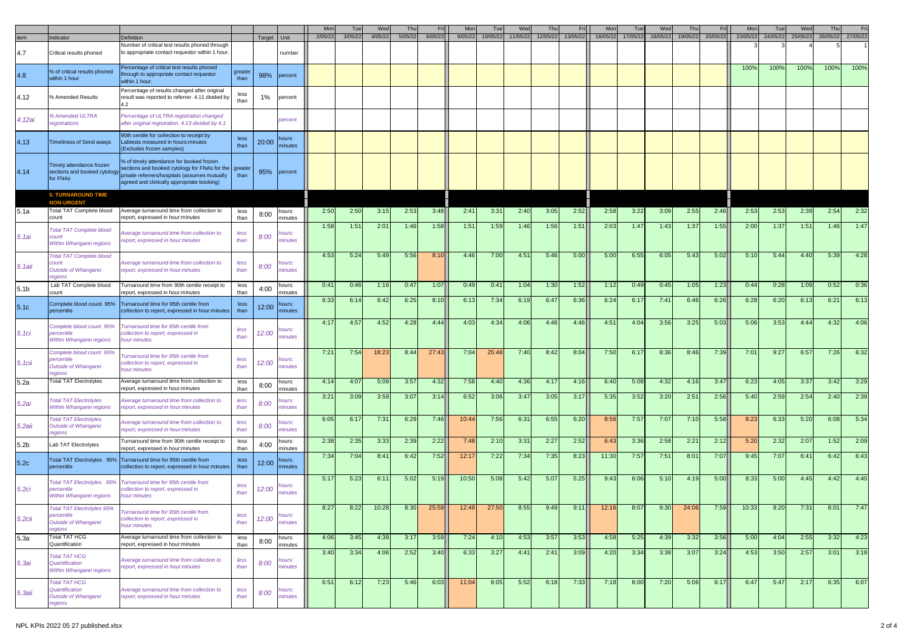|                  |                                                                                   |                                                                                                                                                                                                 |                      |        |                                     | Mor     | Tu      | We      | Th      | <b>Fri</b> | Mo      |          | Wed      | Thi      |          |          | Tue      | Wed      |                  |          | Mon      | Tue      | We       | Th       |          |
|------------------|-----------------------------------------------------------------------------------|-------------------------------------------------------------------------------------------------------------------------------------------------------------------------------------------------|----------------------|--------|-------------------------------------|---------|---------|---------|---------|------------|---------|----------|----------|----------|----------|----------|----------|----------|------------------|----------|----------|----------|----------|----------|----------|
| tem              | Indicator                                                                         | Definition                                                                                                                                                                                      |                      | Target | Unit                                | 2/05/22 | 3/05/22 | 4/05/22 | 5/05/22 | 6/05/22    | 9/05/22 | 10/05/22 | 11/05/22 | 12/05/22 | 13/05/22 | 16/05/22 | 17/05/22 | 18/05/22 | 19/05/22         | 20/05/22 | 23/05/22 | 24/05/22 | 25/05/22 | 26/05/22 | 27/05/22 |
| 4.7              | Critical results phoned                                                           | Number of critical test results phoned through<br>to appropriate contact requestor within 1 hour.                                                                                               |                      |        | number                              |         |         |         |         |            |         |          |          |          |          |          |          |          |                  |          |          |          |          |          |          |
| 4.8              | % of critical results phoned<br>within 1 hour                                     | Percentage of critical test results phoned<br>hrough to appropriate contact requestor<br>within 1 hour.                                                                                         | greater<br>than      | 98%    | percent                             |         |         |         |         |            |         |          |          |          |          |          |          |          |                  |          | 100%     | 100%     | 100%     | 100%     | 100%     |
| 4.12             | % Amended Results                                                                 | Percentage of results changed after original<br>result was reported to referrer. 4.11 divided by                                                                                                | less<br>than         | 1%     | percent                             |         |         |         |         |            |         |          |          |          |          |          |          |          |                  |          |          |          |          |          |          |
| 4. 12ai          | Amended ULTRA<br>egistrations                                                     | Percentage of ULTRA registration changed<br>after original registration. 4.13 divided by 4.1                                                                                                    |                      |        | percent                             |         |         |         |         |            |         |          |          |          |          |          |          |          |                  |          |          |          |          |          |          |
| 4.13             | Timeliness of Send aways                                                          | 90th centile for collection to receipt by<br>abtests measured in hours: minutes<br>(Excludes frozen samples)                                                                                    | less<br>than         | 20:00  | <b>nours:</b><br>minutes            |         |         |         |         |            |         |          |          |          |          |          |          |          |                  |          |          |          |          |          |          |
| 4.14             | Timely attendance frozen<br>sections and booked cytology<br>for FNAs              | % of timely attendance for booked frozen<br>sections and booked cytology for FNAs for the greate<br>private referrers/hospitals (assumes mutually<br>agreed and clinically appropriate booking) | than                 | 95%    | percent                             |         |         |         |         |            |         |          |          |          |          |          |          |          |                  |          |          |          |          |          |          |
|                  | <b>5. TURNAROUND TIME</b>                                                         |                                                                                                                                                                                                 |                      |        |                                     |         |         |         |         |            |         |          |          |          |          |          |          |          |                  |          |          |          |          |          |          |
| 5.1a             | <b>NON-URGENT</b><br>Total TAT Complete blood<br>count                            | Average turnaround time from collection to<br>report, expressed in hour:minutes                                                                                                                 | less<br>than         | 8:00   | hours:<br>minutes                   | 2:50    | 2:50    | 3:15    | 2:53    | 3:48       | 2:41    | 3:31     | 2:40     | 3:05     | 2:52     | 2:58     | 3:22     | 3:09     | 2:55             | 2:46     | 2:53     | 2:53     | 2:39     | 2:54     | 2:32     |
| 5.1ai            | <b>Total TAT Complete blood</b><br>:ount<br>Within Whangarei regions              | Average turnaround time from collection to<br>eport, expressed in hour:minutes                                                                                                                  | less<br>than         | 8:00   | ours:<br>minutes                    | 1:58    | 1:51    | 2:01    | 1:46    | 1:58       | 1:51    | 1:59     | 1:46     | 1:56     | 1:51     | 2:03     | 1:47     | 1:43     | 1:37             | 1:55     | 2:00     | 1:37     | 1:51     | 1:46     | 1:47     |
| 5.1aii           | <b>Total TAT Complete blood</b><br>:ount<br><b>Outside of Whangarei</b><br>eaions | Average turnaround time from collection to<br>report, expressed in hour:minutes                                                                                                                 | less<br>than         | 8:00   | hours:<br>minutes                   | 4:53    | 5:24    | 5:49    | 5:56    | 8:10       | 4:46    | 7:00     | 4:51     | 5:46     | 5:00     | 5:00     | 6:55     | 6:05     | 5:43             | 5:02     | 5:10     | 5:44     | 4:40     | 5:39     | 4:28     |
| 5.1 <sub>b</sub> | Lab TAT Complete blood                                                            | Turnaround time from 90th centile receipt to                                                                                                                                                    | less                 | 4:00   | ours:                               | 0:41    | 0:46    | 1:16    | 0:47    | 1:07       | 0:49    | 0:41     | 1:04     | 1:30     | 1:52     | 1:12     | 0:49     | 0:45     | 1:05             | 1:23     | 0:44     | 0:28     | 1:09     | 0:52     | 0:36     |
| 5.1c             | count<br>Complete blood count 95%<br>percentile                                   | report, expressed in hour:minutes<br>Turnaround time for 95th centile from<br>collection to report, expressed in hour:minutes                                                                   | than<br>less<br>than | 12:00  | minutes<br><b>nours:</b><br>minutes | 6:33    | 6:14    | 6:42    | 6:25    | 8:10       | 6:13    | 7:34     | 6:19     | 6:47     | 6:36     | 6:24     | 6:17     | 7:41     | 6:46             | 6:26     | 6:28     | 6:20     | 6:13     | 6:21     | 6:13     |
| 5.1ci            | Complete blood count 95%<br>ercentile<br>Within Whangarei regions                 | Turnaround time for 95th centile from<br>ollection to report, expressed in<br>hour:minutes                                                                                                      | less<br>than         | 12:00  | ours:<br>ninutes                    | 4:17    | 4:57    | 4:52    | 4:28    | 4:44       | 4:03    | 4:34     | 4:06     | 4:46     | 4:46     | 4:51     | 4:04     | 3:56     | 3:25             | 5:03     | 5:06     | 3:53     | 4:44     | 4:32     | 4:06     |
| 5.1cii           | Complete blood count 95%<br>ercentile<br><b>Dutside of Whangarei</b><br>egions    | urnaround time for 95th centile from<br>ollection to report, expressed in:<br>hour:minutes                                                                                                      | less<br>than         | 12:00  | <b>ours:</b><br>minutes             | 7:21    | 7:54    | 18:23   | 8:44    | 27:43      | 7:04    | 25:48    | 7:40     | 8:42     | 8:04     | 7:50     | 6:17     | 8:36     | 8:46             | 7:39     | 7:01     | 9:27     | 6:57     | 7:26     | 6:32     |
| 5.2a             | <b>Total TAT Electrolytes</b>                                                     | Average turnaround time from collection to<br>report, expressed in hour:minutes                                                                                                                 | less<br>than         | 8:00   | hours:<br>minutes                   | 4:14    | 4:07    | 5:09    | 3:57    | 4:32       | 7:58    | 4:40     | 4:36     | 4:17     | 4:16     | 6:40     | 5:08     | 4:32     | 4:16             | 3:47     | 6:23     | 4:05     | 3:37     | 3:42     | 3:29     |
| 5.2ai            | Total TAT Electrolytes<br>Within Whangarei regions                                | Average turnaround time from collection to<br>eport, expressed in hour:minutes                                                                                                                  | less<br>than         | 8:00   | iours:<br>ninutes                   | 3:21    | 3:09    | 3:59    | 3:07    | 3:14       | 6:52    | 3:06     | 3:47     | 3:05     | 3:17     | 5:35     | 3:52     | 3:20     | 2:51             | 2:56     | 5:40     | 2:59     | 2:54     | 2:40     | 2:39     |
| 5.2aii           | <b>Total TAT Electrolytes</b><br><b>Outside of Whangarei</b><br>egions            | Average turnaround time from collection to<br>eport, expressed in hour:minutes                                                                                                                  | less<br>than         | 8:00   | <b>ours</b><br>ninutes              | 6:05    | 6:1     | 7:31    | 6:29    | 7:46       | 10:44   | 7:56     | 6:31     | 6:55     | 6:20     | 8:56     | 7:57     | 7:07     | 7:10             | 5:58     | 8:23     | 6:33     | 5:20     | 6:08     | 5:34     |
| 5.2b             | ab TAT Electrolytes                                                               | Turnaround time from 90th centile receipt to<br>report, expressed in hour:minutes                                                                                                               | less<br>than         | 4:00   | ours:<br>minutes                    | 2:38    | 2:35    | 3:33    | 2:39    | 2:22       | 7:48    | 2:10     | 3:31     | 2:27     | 2:52     | 6:43     | 3:36     | 2:58     | 2:21             | 2:12     | 5:20     | 2:32     | 2:07     | 1:52     | 2:09     |
| 5.2c             | <b>Total TAT Electrolytes 95%</b><br>percentile                                   | Turnaround time for 95th centile from<br>collection to report, expressed in hour:minutes                                                                                                        | less<br>than         | 12:00  | hours:<br>minutes                   | 7:34    | 7:04    | 8:41    | 6:42    | 7:52       | 12:17   | 7:22     | 7:34     | 7:35     | 8:23     | 11:30    | 7:57     | 7:51     | 8:0 <sup>1</sup> | 7:07     | 9:45     | 7:07     | 6:41     | 6:42     | 6:43     |
| 5.2ci            | Total TAT Electrolytes 95%<br>percentile<br>Within Whangarei regions              | Turnaround time for 95th centile from<br>ollection to report, expressed in<br>hour:minutes                                                                                                      | less<br>than         | 12:00  | lours:<br>minutes                   | 5:17    | 5:23    | 6:11    | 5:02    | 5:19       | 10:50   | 5:08     | 5:42     | 5:07     | 5:25     | 9:43     | 6:06     | 5:10     | 4:19             | 5:00     | 8:33     | 5:00     | 4:45     | 4:42     | 4:40     |
| 5.2cii           | otal TAT Electrolytes 95%<br>percentile<br><b>Outside of Whangarei</b><br>egions  | Turnaround time for 95th centile from<br>collection to report, expressed in<br>hour:minutes                                                                                                     | less<br>than         | 12:00  | hours:<br>minutes                   | 8:27    | 8:22    | 10:28   | 8:30    | 25:59      | 12:49   | 27:50    | 8:55     | 9:49     | 9:11     | 12:16    | 8:07     | 9:30     | 24:06            | 7:59     | 10:33    | 8:20     | 7:31     | 8:01     | 7:47     |
| 5.3a             | <b>Total TAT HCG</b><br>Quantification                                            | Average turnaround time from collection to<br>report, expressed in hour:minutes                                                                                                                 | less<br>than         | 8:00   | hours:<br>minutes                   | 4:06    | 3:45    | 4:39    | 3:17    | 3:59       | 7:24    | 4:10     | 4:53     | 3:57     | 3:53     | 4:58     | 5:25     | 4:39     | 3:32             | 3:56     | 5:00     | 4:04     | 2:55     | 3:32     | 4:23     |
| 5.3ai            | <b>Total TAT HCG</b><br>Quantification<br>Within Whangarei regions                | Average turnaround time from collection to<br>eport, expressed in hour:minutes                                                                                                                  | less<br>than         | 8:00   | hours:<br>ninutes                   | 3:40    | 3:34    | 4:06    | 2:52    | 3:40       | 6:33    | 3:27     | 4:41     | 2:41     | 3:09     | 4:20     | 3:34     | 3:38     | 3:07             | 3:24     | 4:53     | 3:50     | 2:57     | 3:01     | 3:18     |
| 5.3aii           | <b>Total TAT HCG</b><br>Quantification<br><b>Outside of Whangarei</b><br>regions  | Average turnaround time from collection to<br>report, expressed in hour:minutes                                                                                                                 | less<br>than         | 8:00   | hours:<br>minutes                   | 6:51    | 6:12    | 7:23    | 5:46    | 6:03       | 11:04   | 6:05     | 5:52     | 6:18     | 7:33     | 7:18     | 8:00     | 7:20     | 5:06             | 6:17     | 6:47     | 5:47     | 2:17     | 6:35     | 6:07     |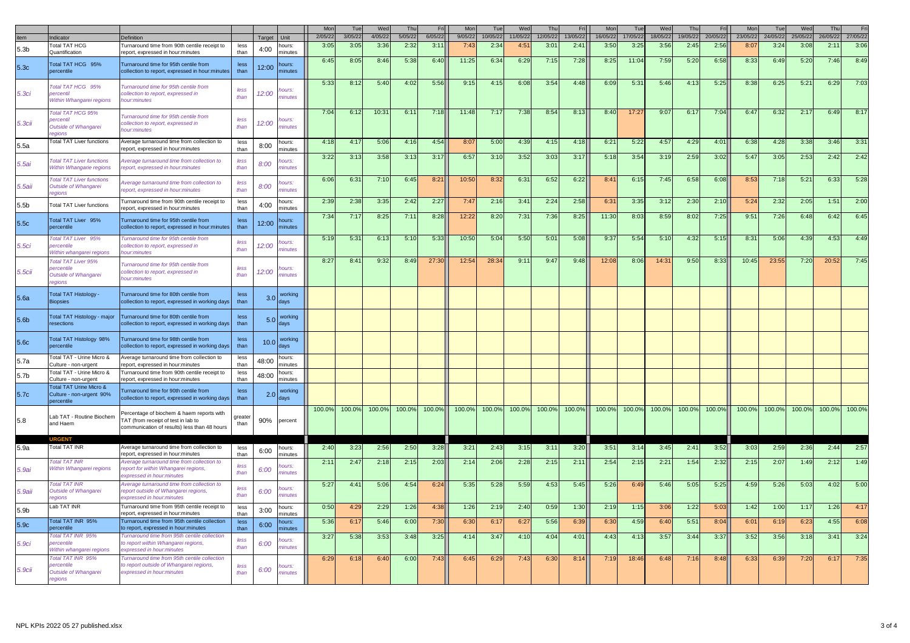|                   |                                                                                  |                                                                                                                                  |                |        |                                | Mon     | Tue     | Wed     | Thu     | Eri     | Mor     | Tue      | Wed      | Thu      | Fri      | Mon      | Tue      | Wed      | Thu      | Fri      | Mon      | Tue      | Wed      | Thu      |          |
|-------------------|----------------------------------------------------------------------------------|----------------------------------------------------------------------------------------------------------------------------------|----------------|--------|--------------------------------|---------|---------|---------|---------|---------|---------|----------|----------|----------|----------|----------|----------|----------|----------|----------|----------|----------|----------|----------|----------|
| tem               | dicator                                                                          | Definition                                                                                                                       |                | Target | Unit                           | 2/05/22 | 3/05/22 | 4/05/22 | 5/05/22 | 6/05/22 | 9/05/22 | 10/05/22 | 11/05/22 | 12/05/22 | 13/05/22 | 16/05/22 | 17/05/22 | 18/05/22 | 19/05/22 | 20/05/22 | 23/05/22 | 24/05/22 | 25/05/22 | 26/05/22 | 27/05/22 |
| 5.3 <sub>b</sub>  | <b>Total TAT HCG</b>                                                             | Turnaround time from 90th centile receipt to                                                                                     | less           | 4:00   | <b>OULS:</b>                   | 3:05    | 3:05    | 3:3(    | 2:32    | 3:11    | 7:43    | 2:34     | 4:51     | 3:01     | 2:41     | 3:50     | 3:25     | 3:56     | 2:45     | 2:56     | 8:07     | 3:24     | 3:08     | 2:1'     | 3:06     |
|                   | Quantification                                                                   | report, expressed in hour:minutes                                                                                                | than           |        | minutes                        | 6:45    |         |         |         |         |         |          |          |          |          |          |          |          |          |          |          |          |          |          |          |
| 5.3c              | Total TAT HCG 95%<br>bercentile                                                  | Turnaround time for 95th centile from<br>collection to report, expressed in hour:minutes                                         | less<br>than   | 12:00  | hours:<br>ninutes              |         | 8:05    | 8:46    | 5:38    | 6:40    | 11:25   | 6:34     | 6:29     | 7:15     | 7:28     | 8:25     | 11:04    | 7:59     | 5:20     | 6:58     | 8:33     | 6:49     | 5:20     | 7:46     | 8:49     |
| 5.3ci             | Total TAT HCG 95%<br>percentil<br>Within Whangarei regions                       | Furnaround time for 95th centile from<br>ollection to report, expressed in<br>10ur:minutes                                       | less<br>than   | 12:00  | ours.<br><i><b>inutes</b></i>  | 5:33    | 8:12    | 5:40    | 4:02    | 5:56    | 9:15    | 4:15     | 6:08     | 3:54     | 4:48     | 6:09     | 5:31     | 5:46     | 4:13     | 5:25     | 8:38     | 6:25     | 5:21     | 6:29     | 7:03     |
| 5.3сіі            | Total TAT HCG 95%<br>ercenti<br>Outside of Whangarei<br>eaions                   | urnaround time for 95th centile from<br>ollection to report, expressed in<br>hour:minutes                                        | less<br>than   | 12:00  | ours:<br>inutes                | 7:04    | 6:12    | 10:31   | 6:11    | 7:18    | 11:48   | 7:17     | 7:38     | 8:54     | 8:13     | 8:40     | 17:27    | 9:07     | 6:17     | 7:04     | 6:47     | 6:32     | 2:17     | 6:49     | 8:17     |
| 5.5a              | <b>Total TAT Liver functions</b>                                                 | Average turnaround time from collection to<br>eport, expressed in hour:minutes                                                   | less<br>than   | 8:00   | hours:<br>minutes              | 4:18    | 4:17    | 5:06    | 4:16    | 4:54    | 8:07    | 5:00     | 4:39     | 4:15     | 4:18     | 6:21     | 5:22     | 4:57     | 4:29     | 4:01     | 6:38     | 4:28     | 3:38     | 3:46     | 3:3'     |
| 5.5ai             | <b>Total TAT Liver functions</b><br>Within Whangarie regions                     | verage turnaround time from collection to<br>report, expressed in hour:minutes                                                   | less<br>than   | 8:00   | ours:<br>ninutes               | 3:22    | 3:13    | 3:58    | 3:13    | 3:17    | 6:57    | 3:10     | 3:52     | 3:03     | 3:17     | 5:18     | 3:54     | 3:19     | 2:59     | 3:02     | 5:47     | 3:05     | 2:53     | 2:42     | 2:42     |
| $5.5$ aii         | <b>Total TAT Liver functions</b><br>Outside of Whangarei<br>eaions               | Average turnaround time from collection to<br>report, expressed in hour:minutes                                                  | less<br>than   | 8:00   | lours:<br><i><b>inutes</b></i> | 6:06    | 6:31    | 7:10    | 6:45    | 8:21    | 10:50   | 8:32     | 6:31     | 6:52     | 6:22     | 8:41     | 6:15     | 7:45     | 6:58     | 6:08     | 8:53     | 7:18     | 5:21     | 6:33     | 5:28     |
| 5.5 <sub>b</sub>  | Total TAT Liver functions                                                        | Turnaround time from 90th centile receipt to<br>report, expressed in hour: minutes                                               | less<br>than   | 4:00   | hours:<br>minutes              | 2:39    | 2:38    | 3:35    | 2:42    | 2:27    | 7:47    | 2:16     | 3:41     | 2:24     | 2:58     | 6:31     | 3:35     | 3:12     | 2:30     | 2:10     | 5:24     | 2:32     | 2:05     | 1:51     | 2:00     |
| 5.5c              | Total TAT Liver 95%<br>percentile                                                | Turnaround time for 95th centile from<br>collection to report, expressed in hour: minutes                                        | less<br>than   | 12:00  | <b>nours:</b><br>ninutes       | 7:34    | 7:17    | 8:25    | 7:11    | 8:28    | 12:22   | 8:20     | 7:31     | 7:36     | 8:25     | 11:30    | 8:03     | 8:59     | 8:02     | 7:25     | 9:51     | 7:26     | 6:48     | 6:42     | 6:45     |
| 5.5ci             | Total TAT Liver 95%<br><b>percentile</b><br>Within whangarei regions             | Turnaround time for 95th centile from<br>collection to report, expressed in<br>hour:minutes                                      | less<br>than   | 12:00  | ours:<br><i><b>inutes</b></i>  | 5:19    | 5:31    | 6:13    | 5:10    | 5:33    | 10:50   | 5:04     | 5:50     | 5:01     | 5:08     | 9:37     | 5:54     | 5:10     | 4:32     | 5:15     | 8:31     | 5:06     | 4:39     | 4:53     | 4:49     |
| 5.5cii            | Total TAT Liver 95%<br><b>percentile</b><br>Outside of Whangarei<br>eaions       | Turnaround time for 95th centile from<br>collection to report, expressed in<br>hour:minutes                                      | less<br>than   | 12:00  | <b>ours</b><br>ninutes         | 8:27    | 8:41    | 9:32    | 8:49    | 27:30   | 12:54   | 28:34    | 9:11     | 9:47     | 9:48     | 12:08    | 8:06     | 14:31    | 9:50     | 8:33     | 10:45    | 23:55    | 7:20     | 20:52    | 7:45     |
| 5.6a              | <b>Total TAT Histology -</b><br><b>Biopsies</b>                                  | Turnaround time for 80th centile from<br>collection to report, expressed in working days                                         | less<br>than   | 3.0    | working<br>days                |         |         |         |         |         |         |          |          |          |          |          |          |          |          |          |          |          |          |          |          |
| 5.6 <sub>b</sub>  | Total TAT Histology - major<br>resections                                        | Turnaround time for 80th centile from<br>collection to report, expressed in working days                                         | less<br>than   | 5.0    | working<br>days                |         |         |         |         |         |         |          |          |          |          |          |          |          |          |          |          |          |          |          |          |
| 5.6c              | Total TAT Histology 98%<br>percentile                                            | Turnaround time for 98th centile from<br>collection to report, expressed in working days                                         | less<br>than   | 10.0   | working<br>davs                |         |         |         |         |         |         |          |          |          |          |          |          |          |          |          |          |          |          |          |          |
| 5.7a              | Total TAT - Urine Micro &<br>Culture - non-urgent                                | Average turnaround time from collection to<br>eport. expressed in hour:minutes                                                   | less<br>than   | 48:00  | ours:<br>minutes               |         |         |         |         |         |         |          |          |          |          |          |          |          |          |          |          |          |          |          |          |
| 5.7 <sub>b</sub>  | Total TAT - Urine Micro &<br>Culture - non-urgent                                | Turnaround time from 90th centile receipt to<br>report, expressed in hour:minutes                                                | less<br>than   | 48:00  | ours:<br>minutes               |         |         |         |         |         |         |          |          |          |          |          |          |          |          |          |          |          |          |          |          |
| 5.7c              | Total TAT Urine Micro &<br>Culture - non-urgent 90%<br>percentile                | Turnaround time for 90th centile from<br>collection to report, expressed in working days                                         | less<br>than   | 2.0    | working<br>davs                |         |         |         |         |         |         |          |          |          |          |          |          |          |          |          |          |          |          |          |          |
| 5.8               | Lab TAT - Routine Biochem<br>and Haem                                            | Percentage of biochem & haem reports with<br>TAT (from receipt of test in lab to<br>communication of results) less than 48 hours | oreate<br>than |        | 90% percent                    | 100.0%  | 100.0%  | 100.0%  | 100.0%  | 100.0%  | 100.0%  | 100.0%   | 100.0%   | 100.0%   | 100.0%   | 100.0%   | 100.0%   | 100.0%   | 100.0%   | 100.0%   | 100.0%   | 100.0%   | 100.0%   | 100.0%   | 100.0%   |
| 5.9a              | Total TAT INR                                                                    | Average turnaround time from collection to<br>eport, expressed in hour:minutes                                                   | less<br>than   | 6:00   | ours:<br>minutes               | 2:40    | 3:23    | 2:56    | 2:50    | 3:28    | 3:21    | 2:43     | 3:15     | 3:11     | 3:20     | 3:51     | 3:14     | 3:45     | 2:41     | 3:52     | 3:03     | 2:59     | 2:36     | 2:44     | 2:57     |
| 5.9ai             | otal TAT INR<br><b>Within Whangarei regions</b>                                  | Average turnaround time from collection to<br>eport for within Whangarei regions,<br>expressed in hour:minutes                   | less<br>than   | 6:00   | ours:<br><i><b>inutes</b></i>  | 2:11    | 2:47    | 2:18    | 2:15    | 2:03    | 2:14    | 2:06     | 2:28     | 2:15     | 2:11     | 2:54     | 2:15     | 2:21     | 1:54     | 2:32     | 2:15     | 2:07     | 1:49     | 2:12     | 1:49     |
| 5.9aii            | otal TAT INR<br><b>Outside of Whangarei</b><br>eaions                            | Average turnaround time from collection to<br>eport outside of Whangarei regions,<br>expressed in hour:minutes                   | less<br>than   | 6:00   | ours:<br>inutes                | 5:27    | 4:41    | 5:06    | 4:54    | 6:24    | 5:35    | 5:28     | 5:59     | 4:53     | 5:45     | 5:26     | 6:49     | 5:46     | 5:05     | 5:25     | 4:59     | 5:26     | 5:03     | 4:02     | 5:00     |
| 5.9b              | Lab TAT INR                                                                      | Turnaround time from 95th centile receipt to<br>report, expressed in hour:minutes                                                | less<br>than   | 3:00   | ours:<br>ninutes               | 0:50    | 4:29    | 2:29    | 1:26    | 4:38    | 1:26    | 2:19     | 2:40     | 0:59     | 1:30     | 2:19     | 1:15     | 3:06     | 1:22     | 5:03     | 1:42     | 1:00     | 1:17     | 1:26     | 4:17     |
| 5.9c              | Total TAT INR 95%<br>bercentile                                                  | Turnaround time from 95th centile collection<br>to report, expressed in hour:minutes                                             | less<br>than   | 6:00   | ours:<br>ninutes               | 5:36    | 6:17    | 5:46    | 6:00    | 7:30    | 6:3C    | 6:17     | 6:27     | 5:56     | 6:39     | 6:30     | 4:59     | 6:40     | 5:51     | 8:04     | 6:01     | 6:19     | 6:23     | 4:55     | 6:08     |
| 5.9ci             | Total TAT INR 95%<br><b>percentile</b><br>Within whangarei regions               | Turnaround time from 95th centile collection<br>to report within Whangarei regions,<br>expressed in hour:minutes                 | less<br>than   | 6:00   | ours:<br>ninutes               | 3:27    | 5:38    | 3:53    | 3:48    | 3:25    | 4:14    | 3:47     | 4:10     | 4:04     | 4:01     | 4:43     | 4:13     | 3:57     | 3:44     | 3:37     | 3:52     | 3:56     | 3:18     | 3:41     | 3:24     |
| 5.9 <sub>ci</sub> | Total TAT INR 95%<br><b>percentile</b><br><b>Outside of Whangarei</b><br>regions | Turnaround time from 95th centile collection<br>to report outside of Whangarei regions,<br>expressed in hour:minutes             | less<br>than   | 6:00   | ours:<br>ninutes               | 6:29    | 6:18    | 6:40    | 6:00    | 7:43    | 6:45    | 6:29     | 7:43     | 6:30     | 8:14     | 7:19     | 18:46    | 6:48     | 7:16     | 8:48     | 6:33     | 6:39     | 7:20     | 6:17     | 7:35     |